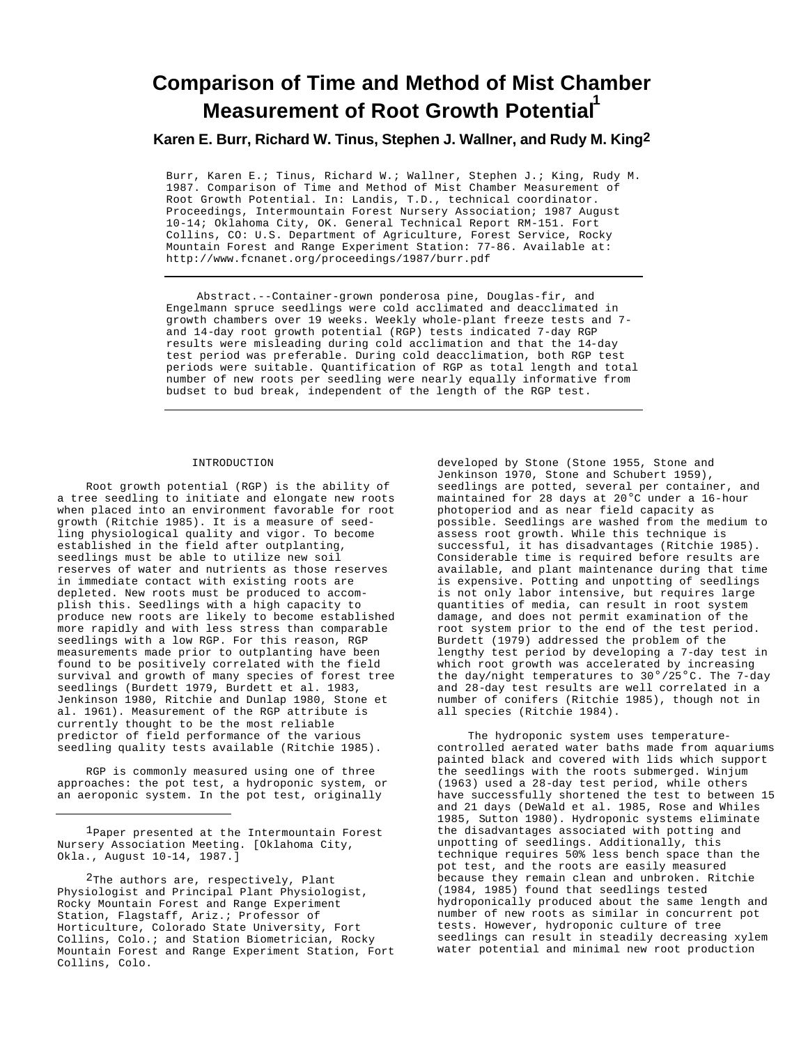# **Comparison of Time and Method of Mist Chamber Measurement of Root Growth Potential<sup>1</sup>**

# **Karen E. Burr, Richard W. Tinus, Stephen J. Wallner, and Rudy M. King2**

Burr, Karen E.; Tinus, Richard W.; Wallner, Stephen J.; King, Rudy M. 1987. Comparison of Time and Method of Mist Chamber Measurement of Root Growth Potential. In: Landis, T.D., technical coordinator. Proceedings, Intermountain Forest Nursery Association; 1987 August 10-14; Oklahoma City, OK. General Technical Report RM-151. Fort Collins, CO: U.S. Department of Agriculture, Forest Service, Rocky Mountain Forest and Range Experiment Station: 77-86. Available at: http://www.fcnanet.org/proceedings/1987/burr.pdf

Abstract.--Container-grown ponderosa pine, Douglas-fir, and Engelmann spruce seedlings were cold acclimated and deacclimated in growth chambers over 19 weeks. Weekly whole-plant freeze tests and 7 and 14-day root growth potential (RGP) tests indicated 7-day RGP results were misleading during cold acclimation and that the 14-day test period was preferable. During cold deacclimation, both RGP test periods were suitable. Quantification of RGP as total length and total number of new roots per seedling were nearly equally informative from budset to bud break, independent of the length of the RGP test.

# INTRODUCTION

Root growth potential (RGP) is the ability of a tree seedling to initiate and elongate new roots when placed into an environment favorable for root growth (Ritchie 1985). It is a measure of seedling physiological quality and vigor. To become established in the field after outplanting, seedlings must be able to utilize new soil reserves of water and nutrients as those reserves in immediate contact with existing roots are depleted. New roots must be produced to accomplish this. Seedlings with a high capacity to produce new roots are likely to become established more rapidly and with less stress than comparable seedlings with a low RGP. For this reason, RGP measurements made prior to outplanting have been found to be positively correlated with the field survival and growth of many species of forest tree seedlings (Burdett 1979, Burdett et al. 1983, Jenkinson 1980, Ritchie and Dunlap 1980, Stone et al. 1961). Measurement of the RGP attribute is currently thought to be the most reliable predictor of field performance of the various seedling quality tests available (Ritchie 1985).

RGP is commonly measured using one of three approaches: the pot test, a hydroponic system, or an aeroponic system. In the pot test, originally

developed by Stone (Stone 1955, Stone and Jenkinson 1970, Stone and Schubert 1959), seedlings are potted, several per container, and maintained for 28 days at 20°C under a 16-hour photoperiod and as near field capacity as possible. Seedlings are washed from the medium to assess root growth. While this technique is successful, it has disadvantages (Ritchie 1985). Considerable time is required before results are available, and plant maintenance during that time is expensive. Potting and unpotting of seedlings is not only labor intensive, but requires large quantities of media, can result in root system damage, and does not permit examination of the root system prior to the end of the test period. Burdett (1979) addressed the problem of the lengthy test period by developing a 7-day test in which root growth was accelerated by increasing the day/night temperatures to 30°/25°C. The 7-day and 28-day test results are well correlated in a number of conifers (Ritchie 1985), though not in all species (Ritchie 1984).

The hydroponic system uses temperaturecontrolled aerated water baths made from aquariums painted black and covered with lids which support the seedlings with the roots submerged. Winjum (1963) used a 28-day test period, while others have successfully shortened the test to between 15 and 21 days (DeWald et al. 1985, Rose and Whiles 1985, Sutton 1980). Hydroponic systems eliminate the disadvantages associated with potting and unpotting of seedlings. Additionally, this technique requires 50% less bench space than the pot test, and the roots are easily measured because they remain clean and unbroken. Ritchie (1984, 1985) found that seedlings tested hydroponically produced about the same length and number of new roots as similar in concurrent pot tests. However, hydroponic culture of tree seedlings can result in steadily decreasing xylem water potential and minimal new root production

<sup>1</sup>Paper presented at the Intermountain Forest Nursery Association Meeting. [Oklahoma City, Okla., August 10-14, 1987.]

<sup>&</sup>lt;sup>2</sup>The authors are, respectively, Plant Physiologist and Principal Plant Physiologist, Rocky Mountain Forest and Range Experiment Station, Flagstaff, Ariz.; Professor of Horticulture, Colorado State University, Fort Collins, Colo.; and Station Biometrician, Rocky Mountain Forest and Range Experiment Station, Fort Collins, Colo.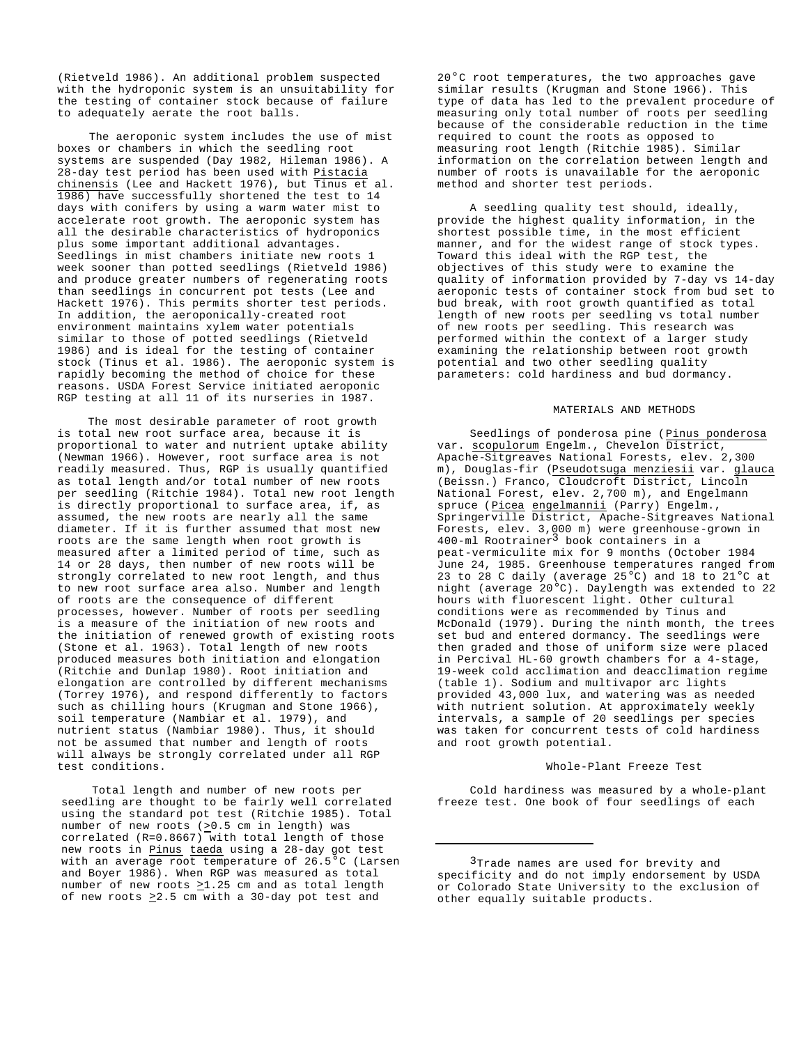(Rietveld 1986). An additional problem suspected with the hydroponic system is an unsuitability for the testing of container stock because of failure to adequately aerate the root balls.

The aeroponic system includes the use of mist boxes or chambers in which the seedling root systems are suspended (Day 1982, Hileman 1986). A 28-day test period has been used with Pistacia chinensis (Lee and Hackett 1976), but Tinus et al. 1986) have successfully shortened the test to 14 days with conifers by using a warm water mist to accelerate root growth. The aeroponic system has all the desirable characteristics of hydroponics plus some important additional advantages. Seedlings in mist chambers initiate new roots 1 week sooner than potted seedlings (Rietveld 1986) and produce greater numbers of regenerating roots than seedlings in concurrent pot tests (Lee and Hackett 1976). This permits shorter test periods. In addition, the aeroponically-created root environment maintains xylem water potentials similar to those of potted seedlings (Rietveld 1986) and is ideal for the testing of container stock (Tinus et al. 1986). The aeroponic system is rapidly becoming the method of choice for these reasons. USDA Forest Service initiated aeroponic RGP testing at all 11 of its nurseries in 1987.

The most desirable parameter of root growth is total new root surface area, because it is proportional to water and nutrient uptake ability (Newman 1966). However, root surface area is not readily measured. Thus, RGP is usually quantified as total length and/or total number of new roots per seedling (Ritchie 1984). Total new root length is directly proportional to surface area, if, as assumed, the new roots are nearly all the same diameter. If it is further assumed that most new roots are the same length when root growth is measured after a limited period of time, such as 14 or 28 days, then number of new roots will be strongly correlated to new root length, and thus to new root surface area also. Number and length of roots are the consequence of different processes, however. Number of roots per seedling is a measure of the initiation of new roots and the initiation of renewed growth of existing roots (Stone et al. 1963). Total length of new roots produced measures both initiation and elongation (Ritchie and Dunlap 1980). Root initiation and elongation are controlled by different mechanisms (Torrey 1976), and respond differently to factors such as chilling hours (Krugman and Stone 1966), soil temperature (Nambiar et al. 1979), and nutrient status (Nambiar 1980). Thus, it should not be assumed that number and length of roots will always be strongly correlated under all RGP test conditions.

Total length and number of new roots per seedling are thought to be fairly well correlated using the standard pot test (Ritchie 1985). Total number of new roots (>0.5 cm in length) was correlated (R=0.8667) with total length of those new roots in Pinus taeda using a 28-day got test with an average root  $\overline{\text{temperature of 26.5}^{\circ}}$  (Larsen and Boyer 1986). When RGP was measured as total number of new roots  $\geq$ 1.25 cm and as total length of new roots  $\geq$ 2.5 cm with a 30-day pot test and

20°C root temperatures, the two approaches gave similar results (Krugman and Stone 1966). This type of data has led to the prevalent procedure of measuring only total number of roots per seedling because of the considerable reduction in the time required to count the roots as opposed to measuring root length (Ritchie 1985). Similar information on the correlation between length and number of roots is unavailable for the aeroponic method and shorter test periods.

A seedling quality test should, ideally, provide the highest quality information, in the shortest possible time, in the most efficient manner, and for the widest range of stock types. Toward this ideal with the RGP test, the objectives of this study were to examine the quality of information provided by 7-day vs 14-day aeroponic tests of container stock from bud set to bud break, with root growth quantified as total length of new roots per seedling vs total number of new roots per seedling. This research was performed within the context of a larger study examining the relationship between root growth potential and two other seedling quality parameters: cold hardiness and bud dormancy.

#### MATERIALS AND METHODS

Seedlings of ponderosa pine (Pinus ponderosa var. scopulorum Engelm., Chevelon District, Apache-Sitgreaves National Forests, elev. 2,300 m), Douglas-fir (<u>Pseudotsuga menziesii</u> var. <u>glauca</u> (Beissn.) Franco, Cloudcroft District, Lincoln National Forest, elev. 2,700 m), and Engelmann spruce (Picea engelmannii (Parry) Engelm., Springerville District, Apache-Sitgreaves National Forests, elev. 3,000 m) were greenhouse-grown in 400-ml Rootrainer3 book containers in a peat-vermiculite mix for 9 months (October 1984 June 24, 1985. Greenhouse temperatures ranged from 23 to 28 C daily (average  $25^{\circ}$ C) and 18 to  $21^{\circ}$ C at night (average 20°C). Daylength was extended to 22 hours with fluorescent light. Other cultural conditions were as recommended by Tinus and McDonald (1979). During the ninth month, the trees set bud and entered dormancy. The seedlings were then graded and those of uniform size were placed in Percival HL-60 growth chambers for a 4-stage, 19-week cold acclimation and deacclimation regime (table 1). Sodium and multivapor arc lights provided 43,000 lux, and watering was as needed with nutrient solution. At approximately weekly intervals, a sample of 20 seedlings per species was taken for concurrent tests of cold hardiness and root growth potential.

# Whole-Plant Freeze Test

Cold hardiness was measured by a whole-plant freeze test. One book of four seedlings of each

<sup>&</sup>lt;sup>3</sup>Trade names are used for brevity and specificity and do not imply endorsement by USDA or Colorado State University to the exclusion of other equally suitable products.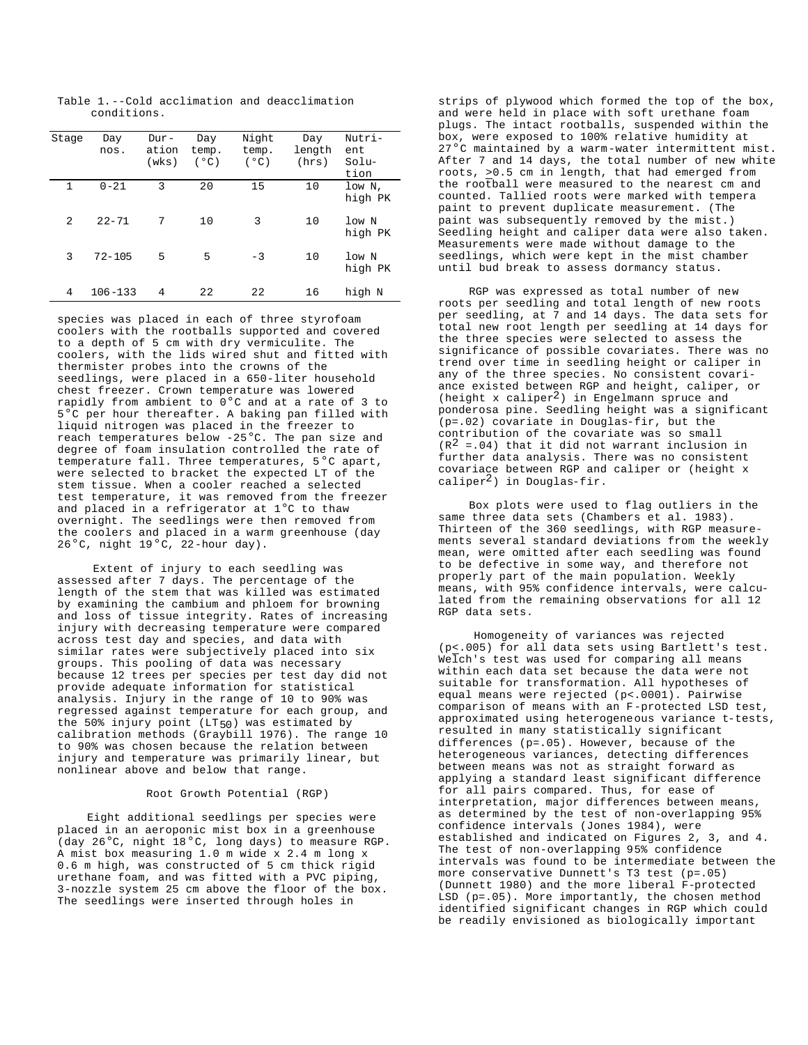Table 1.--Cold acclimation and deacclimation conditions.

| Stage        | Day<br>nos. | Dur-<br>ation<br>(wks) | Day<br>temp.<br>(°C) | Night<br>temp.<br>(°C) | Day<br>length<br>(hrs) | Nutri-<br>ent<br>Solu-<br>tion |
|--------------|-------------|------------------------|----------------------|------------------------|------------------------|--------------------------------|
| $\mathbf{1}$ | $0 - 21$    | 3                      | 20                   | 15                     | 10                     | low N,<br>high PK              |
| 2            | $22 - 71$   | 7                      | 10                   | 3                      | 10                     | low N<br>high PK               |
| 3            | $72 - 105$  | 5                      | 5                    | $-3$                   | 10                     | low N<br>high PK               |
| 4            | $106 - 133$ | 4                      | 22                   | 22                     | 16                     | high N                         |

species was placed in each of three styrofoam coolers with the rootballs supported and covered to a depth of 5 cm with dry vermiculite. The coolers, with the lids wired shut and fitted with thermister probes into the crowns of the seedlings, were placed in a 650-liter household chest freezer. Crown temperature was lowered rapidly from ambient to 0°C and at a rate of 3 to 5°C per hour thereafter. A baking pan filled with liquid nitrogen was placed in the freezer to reach temperatures below -25°C. The pan size and degree of foam insulation controlled the rate of temperature fall. Three temperatures, 5°C apart, were selected to bracket the expected LT of the stem tissue. When a cooler reached a selected test temperature, it was removed from the freezer and placed in a refrigerator at 1°C to thaw overnight. The seedlings were then removed from the coolers and placed in a warm greenhouse (day  $26^{\circ}$ C, night  $19^{\circ}$ C, 22-hour day).

Extent of injury to each seedling was assessed after 7 days. The percentage of the length of the stem that was killed was estimated by examining the cambium and phloem for browning and loss of tissue integrity. Rates of increasing injury with decreasing temperature were compared across test day and species, and data with similar rates were subjectively placed into six groups. This pooling of data was necessary because 12 trees per species per test day did not provide adequate information for statistical analysis. Injury in the range of 10 to 90% was regressed against temperature for each group, and the 50% injury point ( $LT_{50}$ ) was estimated by calibration methods (Graybill 1976). The range 10 to 90% was chosen because the relation between injury and temperature was primarily linear, but nonlinear above and below that range.

#### Root Growth Potential (RGP)

Eight additional seedlings per species were placed in an aeroponic mist box in a greenhouse (day 26°C, night 18°C, long days) to measure RGP. A mist box measuring 1.0 m wide x 2.4 m long x 0.6 m high, was constructed of 5 cm thick rigid urethane foam, and was fitted with a PVC piping, 3-nozzle system 25 cm above the floor of the box. The seedlings were inserted through holes in

strips of plywood which formed the top of the box, and were held in place with soft urethane foam plugs. The intact rootballs, suspended within the box, were exposed to 100% relative humidity at 27°C maintained by a warm-water intermittent mist. After 7 and 14 days, the total number of new white roots, >0.5 cm in length, that had emerged from the rootball were measured to the nearest cm and counted. Tallied roots were marked with tempera paint to prevent duplicate measurement. (The paint was subsequently removed by the mist.) Seedling height and caliper data were also taken. Measurements were made without damage to the seedlings, which were kept in the mist chamber until bud break to assess dormancy status.

RGP was expressed as total number of new roots per seedling and total length of new roots per seedling, at 7 and 14 days. The data sets for total new root length per seedling at 14 days for the three species were selected to assess the significance of possible covariates. There was no trend over time in seedling height or caliper in any of the three species. No consistent covariance existed between RGP and height, caliper, or (height x caliper2) in Engelmann spruce and ponderosa pine. Seedling height was a significant (p=.02) covariate in Douglas-fir, but the contribution of the covariate was so small  $(R<sup>2</sup> = .04)$  that it did not warrant inclusion in further data analysis. There was no consistent covariace between RGP and caliper or (height x caliper2) in Douglas-fir.

Box plots were used to flag outliers in the same three data sets (Chambers et al. 1983). Thirteen of the 360 seedlings, with RGP measurements several standard deviations from the weekly mean, were omitted after each seedling was found to be defective in some way, and therefore not properly part of the main population. Weekly means, with 95% confidence intervals, were calculated from the remaining observations for all 12 RGP data sets.

Homogeneity of variances was rejected (p<.005) for all data sets using Bartlett's test. Welch's test was used for comparing all means within each data set because the data were not suitable for transformation. All hypotheses of equal means were rejected (p<.0001). Pairwise comparison of means with an F-protected LSD test, approximated using heterogeneous variance t-tests, resulted in many statistically significant differences (p=.05). However, because of the heterogeneous variances, detecting differences between means was not as straight forward as applying a standard least significant difference for all pairs compared. Thus, for ease of interpretation, major differences between means, as determined by the test of non-overlapping 95% confidence intervals (Jones 1984), were established and indicated on Figures 2, 3, and 4. The test of non-overlapping 95% confidence intervals was found to be intermediate between the more conservative Dunnett's T3 test (p=.05) (Dunnett 1980) and the more liberal F-protected LSD (p=.05). More importantly, the chosen method identified significant changes in RGP which could be readily envisioned as biologically important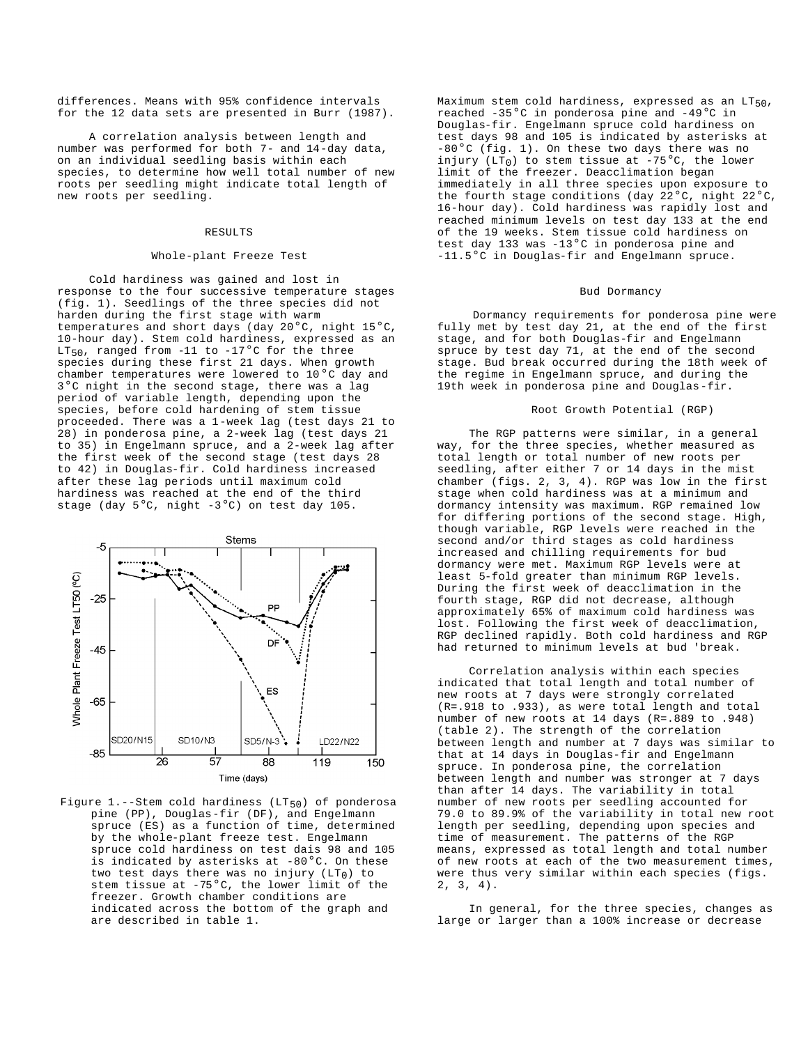differences. Means with 95% confidence intervals for the 12 data sets are presented in Burr (1987).

A correlation analysis between length and number was performed for both 7- and 14-day data, on an individual seedling basis within each species, to determine how well total number of new roots per seedling might indicate total length of new roots per seedling.

#### RESULTS

# Whole-plant Freeze Test

Cold hardiness was gained and lost in response to the four successive temperature stages (fig. 1). Seedlings of the three species did not harden during the first stage with warm temperatures and short days (day 20°C, night 15°C, 10-hour day). Stem cold hardiness, expressed as an LT<sub>50</sub>, ranged from -11 to -17<sup>o</sup>C for the three species during these first 21 days. When growth chamber temperatures were lowered to 10°C day and 3°C night in the second stage, there was a lag period of variable length, depending upon the species, before cold hardening of stem tissue proceeded. There was a 1-week lag (test days 21 to 28) in ponderosa pine, a 2-week lag (test days 21 to 35) in Engelmann spruce, and a 2-week lag after the first week of the second stage (test days 28 to 42) in Douglas-fir. Cold hardiness increased after these lag periods until maximum cold hardiness was reached at the end of the third stage (day  $5^{\circ}$ C, night -3°C) on test day 105.



Figure 1.--Stem cold hardiness ( $LT_{50}$ ) of ponderosa pine (PP), Douglas-fir (DF), and Engelmann spruce (ES) as a function of time, determined by the whole-plant freeze test. Engelmann spruce cold hardiness on test dais 98 and 105 is indicated by asterisks at -80°C. On these two test days there was no injury  $(LT_0)$  to stem tissue at -75°C, the lower limit of the freezer. Growth chamber conditions are indicated across the bottom of the graph and are described in table 1.

Maximum stem cold hardiness, expressed as an  $LT_{50}$ , reached -35°C in ponderosa pine and -49°C in Douglas-fir. Engelmann spruce cold hardiness on test days 98 and 105 is indicated by asterisks at  $-80$ <sup>o</sup>C (fig. 1). On these two days there was no injury (LT<sub>0</sub>) to stem tissue at  $-75^{\circ}$ C, the lower limit of the freezer. Deacclimation began immediately in all three species upon exposure to the fourth stage conditions (day  $22^{\circ}$ C, night  $22^{\circ}$ C, 16-hour day). Cold hardiness was rapidly lost and reached minimum levels on test day 133 at the end of the 19 weeks. Stem tissue cold hardiness on test day 133 was  $-13^{\circ}$ C in ponderosa pine and -11.5°C in Douglas-fir and Engelmann spruce.

## Bud Dormancy

Dormancy requirements for ponderosa pine were fully met by test day 21, at the end of the first stage, and for both Douglas-fir and Engelmann spruce by test day 71, at the end of the second stage. Bud break occurred during the 18th week of the regime in Engelmann spruce, and during the 19th week in ponderosa pine and Douglas-fir.

#### Root Growth Potential (RGP)

The RGP patterns were similar, in a general way, for the three species, whether measured as total length or total number of new roots per seedling, after either 7 or 14 days in the mist chamber (figs. 2, 3, 4). RGP was low in the first stage when cold hardiness was at a minimum and dormancy intensity was maximum. RGP remained low for differing portions of the second stage. High, though variable, RGP levels were reached in the second and/or third stages as cold hardiness increased and chilling requirements for bud dormancy were met. Maximum RGP levels were at least 5-fold greater than minimum RGP levels. During the first week of deacclimation in the fourth stage, RGP did not decrease, although approximately 65% of maximum cold hardiness was lost. Following the first week of deacclimation, RGP declined rapidly. Both cold hardiness and RGP had returned to minimum levels at bud 'break.

Correlation analysis within each species indicated that total length and total number of new roots at 7 days were strongly correlated (R=.918 to .933), as were total length and total number of new roots at 14 days (R=.889 to .948) (table 2). The strength of the correlation between length and number at 7 days was similar to that at 14 days in Douglas-fir and Engelmann spruce. In ponderosa pine, the correlation between length and number was stronger at 7 days than after 14 days. The variability in total number of new roots per seedling accounted for 79.0 to 89.9% of the variability in total new root length per seedling, depending upon species and time of measurement. The patterns of the RGP means, expressed as total length and total number of new roots at each of the two measurement times, were thus very similar within each species (figs. 2, 3, 4).

In general, for the three species, changes as large or larger than a 100% increase or decrease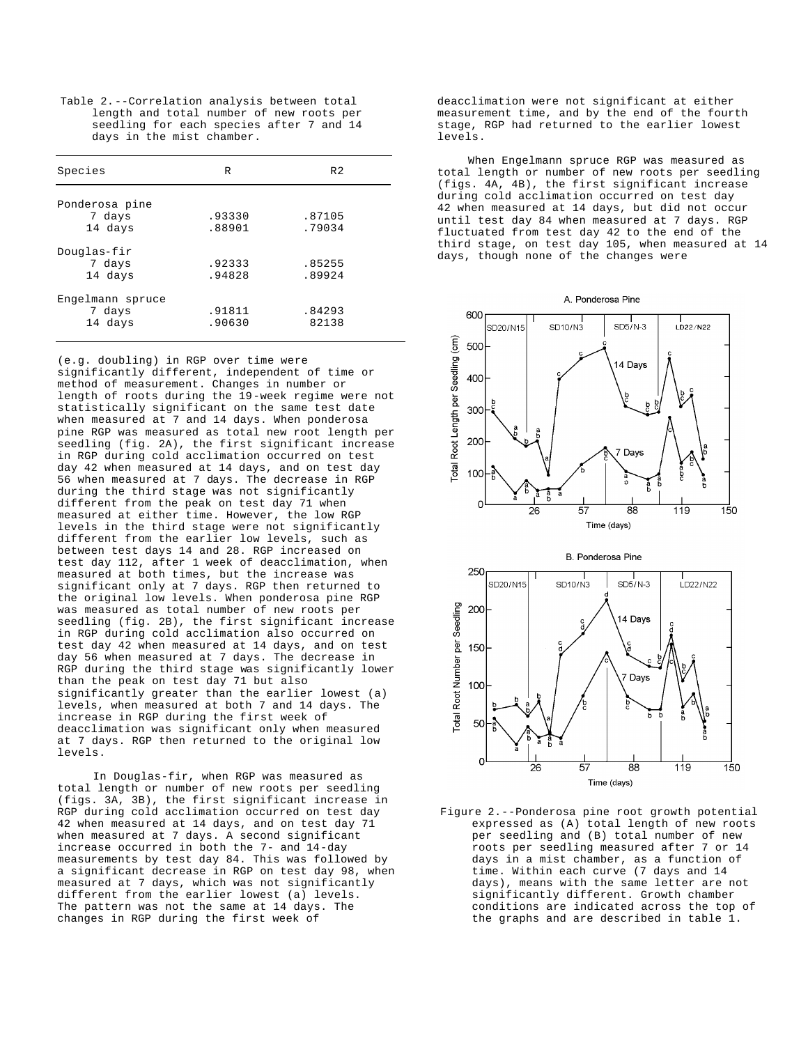Table 2.--Correlation analysis between total length and total number of new roots per seedling for each species after 7 and 14 days in the mist chamber.

| Species          | R      | R <sub>2</sub> |  |
|------------------|--------|----------------|--|
| Ponderosa pine   |        |                |  |
|                  | .93330 | .87105         |  |
| 7 days           |        |                |  |
| 14 days          | .88901 | .79034         |  |
| Douglas-fir      |        |                |  |
| 7 days           | .92333 | .85255         |  |
| 14 days          | .94828 | .89924         |  |
| Engelmann spruce |        |                |  |
| 7 days           | .91811 | .84293         |  |
| 14 days          | .90630 | 82138          |  |
|                  |        |                |  |

(e.g. doubling) in RGP over time were significantly different, independent of time or method of measurement. Changes in number or length of roots during the 19-week regime were not statistically significant on the same test date when measured at 7 and 14 days. When ponderosa pine RGP was measured as total new root length per seedling (fig. 2A), the first significant increase in RGP during cold acclimation occurred on test day 42 when measured at 14 days, and on test day 56 when measured at 7 days. The decrease in RGP during the third stage was not significantly different from the peak on test day 71 when measured at either time. However, the low RGP levels in the third stage were not significantly different from the earlier low levels, such as between test days 14 and 28. RGP increased on test day 112, after 1 week of deacclimation, when measured at both times, but the increase was significant only at 7 days. RGP then returned to the original low levels. When ponderosa pine RGP was measured as total number of new roots per seedling (fig. 2B), the first significant increase in RGP during cold acclimation also occurred on test day 42 when measured at 14 days, and on test day 56 when measured at 7 days. The decrease in RGP during the third stage was significantly lower than the peak on test day 71 but also significantly greater than the earlier lowest (a) levels, when measured at both 7 and 14 days. The increase in RGP during the first week of deacclimation was significant only when measured at 7 days. RGP then returned to the original low levels.

In Douglas-fir, when RGP was measured as total length or number of new roots per seedling (figs. 3A, 3B), the first significant increase in RGP during cold acclimation occurred on test day 42 when measured at 14 days, and on test day 71 when measured at 7 days. A second significant increase occurred in both the 7- and 14-day measurements by test day 84. This was followed by a significant decrease in RGP on test day 98, when measured at 7 days, which was not significantly different from the earlier lowest (a) levels. The pattern was not the same at 14 days. The changes in RGP during the first week of

deacclimation were not significant at either measurement time, and by the end of the fourth stage, RGP had returned to the earlier lowest levels.

When Engelmann spruce RGP was measured as total length or number of new roots per seedling (figs. 4A, 4B), the first significant increase during cold acclimation occurred on test day 42 when measured at 14 days, but did not occur until test day 84 when measured at 7 days. RGP fluctuated from test day 42 to the end of the third stage, on test day 105, when measured at 14 days, though none of the changes were



Figure 2.--Ponderosa pine root growth potential expressed as (A) total length of new roots per seedling and (B) total number of new roots per seedling measured after 7 or 14 days in a mist chamber, as a function of time. Within each curve (7 days and 14 days), means with the same letter are not significantly different. Growth chamber conditions are indicated across the top of the graphs and are described in table 1.

A. Ponderosa Pine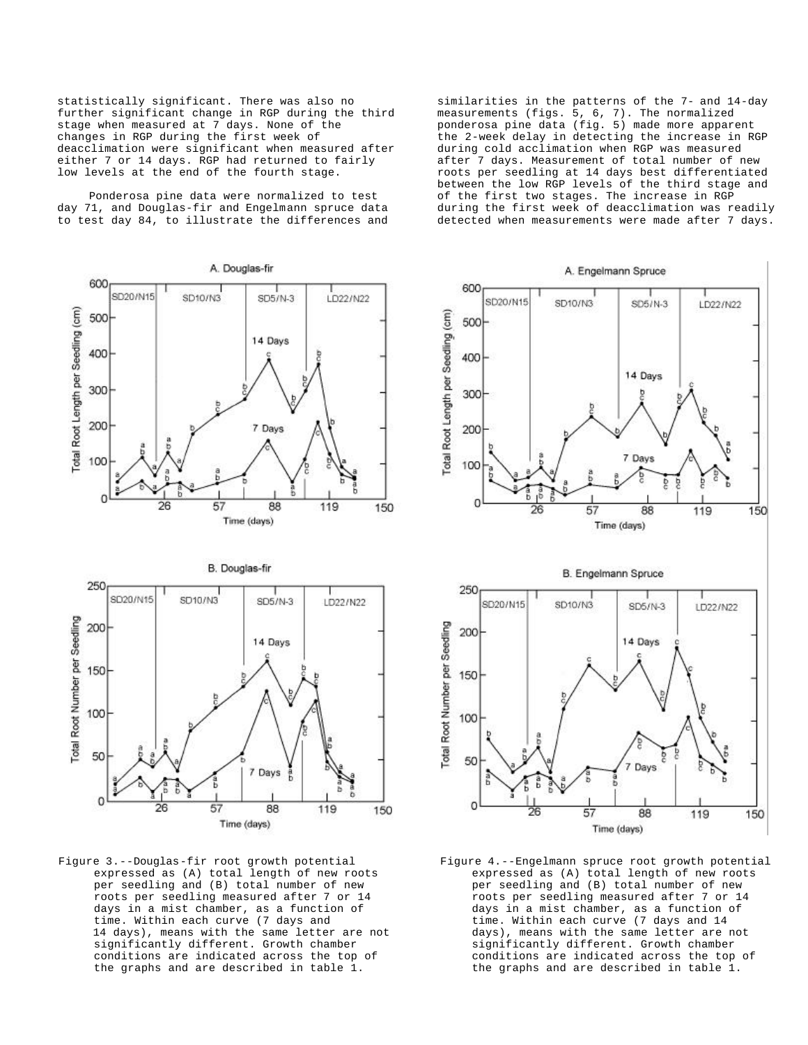statistically significant. There was also no further significant change in RGP during the third stage when measured at 7 days. None of the changes in RGP during the first week of deacclimation were significant when measured after either 7 or 14 days. RGP had returned to fairly low levels at the end of the fourth stage.

Ponderosa pine data were normalized to test day 71, and Douglas-fir and Engelmann spruce data to test day 84, to illustrate the differences and

A. Douglas-fir 600 SD20/N15 SD10/N3 LD22/N22 SD5/N-3 Total Root Length per Seedling (cm) 500 14 Days 400 300 200 7 Days 100 0 26 57 88 119 150 Time (days)





Figure 3.--Douglas-fir root growth potential expressed as (A) total length of new roots per seedling and (B) total number of new roots per seedling measured after 7 or 14 days in a mist chamber, as a function of time. Within each curve (7 days and 14 days), means with the same letter are not significantly different. Growth chamber conditions are indicated across the top of the graphs and are described in table 1.

similarities in the patterns of the 7- and 14-day measurements (figs. 5, 6, 7). The normalized ponderosa pine data (fig. 5) made more apparent the 2-week delay in detecting the increase in RGP during cold acclimation when RGP was measured after 7 days. Measurement of total number of new roots per seedling at 14 days best differentiated between the low RGP levels of the third stage and of the first two stages. The increase in RGP during the first week of deacclimation was readily detected when measurements were made after 7 days.



Figure 4.--Engelmann spruce root growth potential expressed as (A) total length of new roots per seedling and (B) total number of new roots per seedling measured after 7 or 14 days in a mist chamber, as a function of time. Within each curve (7 days and 14 days), means with the same letter are not significantly different. Growth chamber conditions are indicated across the top of the graphs and are described in table 1.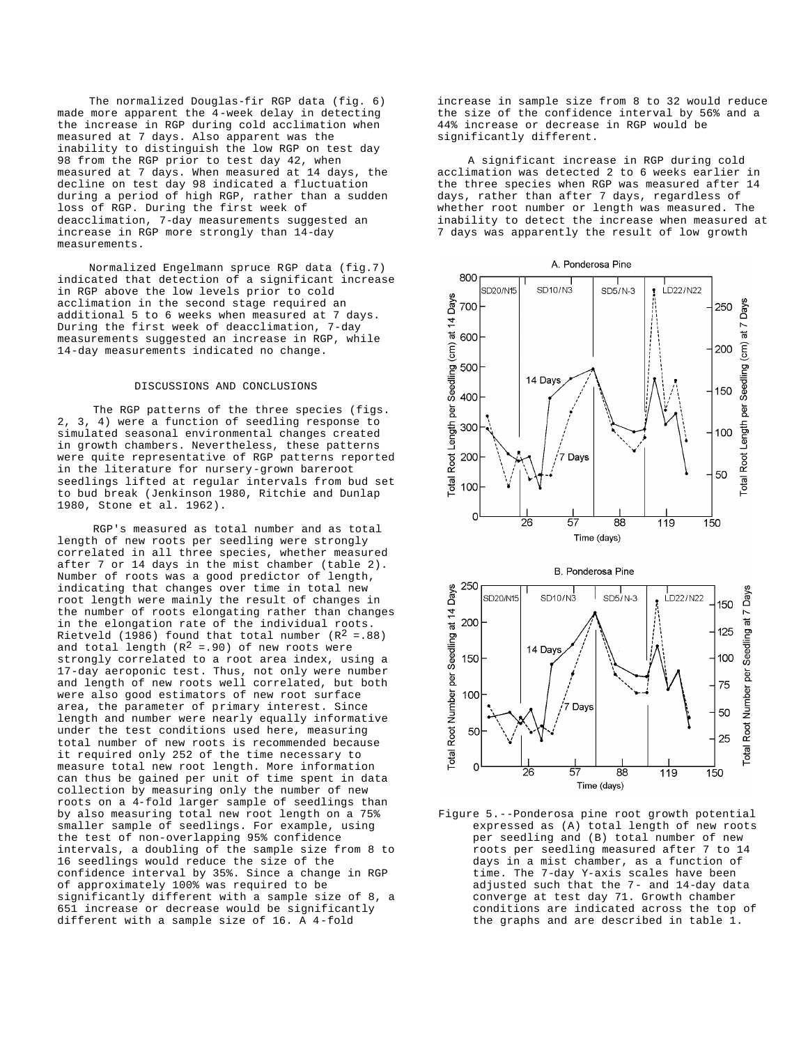The normalized Douglas-fir RGP data (fig. 6) made more apparent the 4-week delay in detecting the increase in RGP during cold acclimation when measured at 7 days. Also apparent was the inability to distinguish the low RGP on test day 98 from the RGP prior to test day 42, when measured at 7 days. When measured at 14 days, the decline on test day 98 indicated a fluctuation during a period of high RGP, rather than a sudden loss of RGP. During the first week of deacclimation, 7-day measurements suggested an increase in RGP more strongly than 14-day measurements.

Normalized Engelmann spruce RGP data (fig.7) indicated that detection of a significant increase in RGP above the low levels prior to cold acclimation in the second stage required an additional 5 to 6 weeks when measured at 7 days. During the first week of deacclimation, 7-day measurements suggested an increase in RGP, while 14-day measurements indicated no change.

# DISCUSSIONS AND CONCLUSIONS

The RGP patterns of the three species (figs. 2, 3, 4) were a function of seedling response to simulated seasonal environmental changes created in growth chambers. Nevertheless, these patterns were quite representative of RGP patterns reported in the literature for nursery-grown bareroot seedlings lifted at regular intervals from bud set to bud break (Jenkinson 1980, Ritchie and Dunlap 1980, Stone et al. 1962).

RGP's measured as total number and as total length of new roots per seedling were strongly correlated in all three species, whether measured after 7 or 14 days in the mist chamber (table 2). Number of roots was a good predictor of length, indicating that changes over time in total new root length were mainly the result of changes in the number of roots elongating rather than changes in the elongation rate of the individual roots. Rietveld (1986) found that total number  $(R^2 = .88)$ and total length  $(R^2 = .90)$  of new roots were strongly correlated to a root area index, using a 17-day aeroponic test. Thus, not only were number and length of new roots well correlated, but both were also good estimators of new root surface area, the parameter of primary interest. Since length and number were nearly equally informative under the test conditions used here, measuring total number of new roots is recommended because it required only 252 of the time necessary to measure total new root length. More information can thus be gained per unit of time spent in data collection by measuring only the number of new roots on a 4-fold larger sample of seedlings than by also measuring total new root length on a 75% smaller sample of seedlings. For example, using the test of non-overlapping 95% confidence intervals, a doubling of the sample size from 8 to 16 seedlings would reduce the size of the confidence interval by 35%. Since a change in RGP of approximately 100% was required to be significantly different with a sample size of 8, a 651 increase or decrease would be significantly different with a sample size of 16. A 4-fold

increase in sample size from 8 to 32 would reduce the size of the confidence interval by 56% and a 44% increase or decrease in RGP would be significantly different.

A significant increase in RGP during cold acclimation was detected 2 to 6 weeks earlier in the three species when RGP was measured after 14 days, rather than after 7 days, regardless of whether root number or length was measured. The inability to detect the increase when measured at 7 days was apparently the result of low growth



Figure 5.--Ponderosa pine root growth potential expressed as (A) total length of new roots per seedling and (B) total number of new roots per seedling measured after 7 to 14 days in a mist chamber, as a function of time. The 7-day Y-axis scales have been adjusted such that the 7- and 14-day data converge at test day 71. Growth chamber conditions are indicated across the top of the graphs and are described in table 1.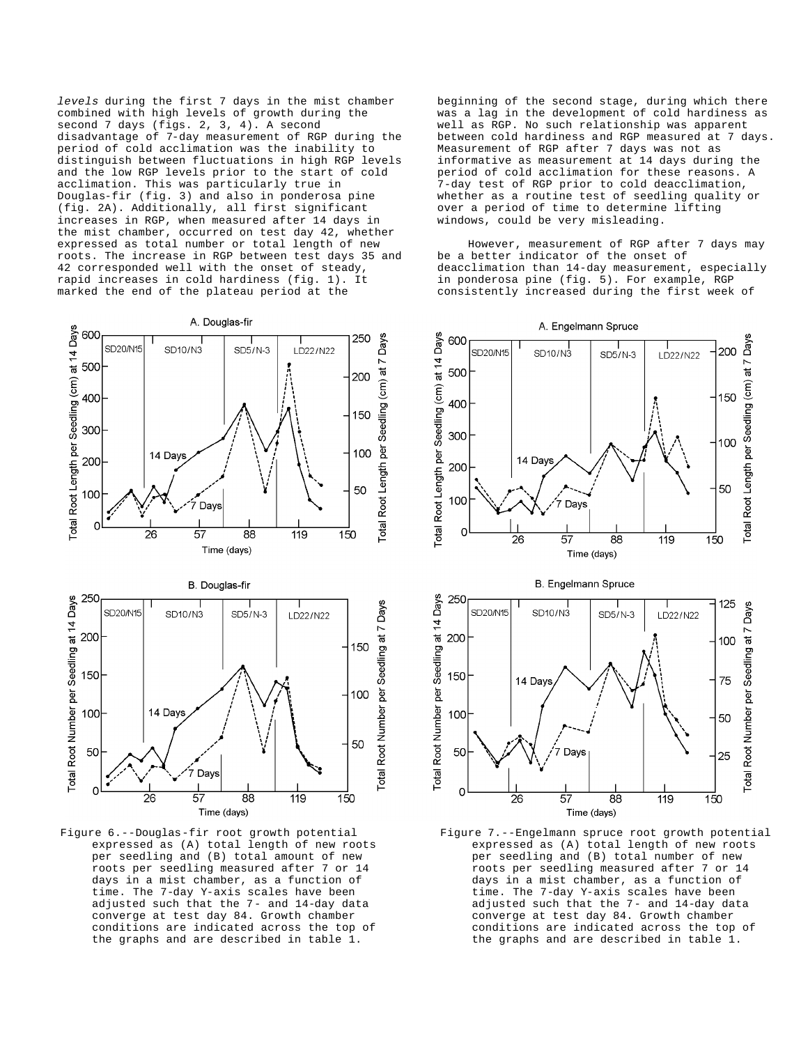*levels* during the first 7 days in the mist chamber combined with high levels of growth during the second 7 days (figs. 2, 3, 4). A second disadvantage of 7-day measurement of RGP during the period of cold acclimation was the inability to distinguish between fluctuations in high RGP levels and the low RGP levels prior to the start of cold acclimation. This was particularly true in Douglas-fir (fig. 3) and also in ponderosa pine (fig. 2A). Additionally, all first significant increases in RGP, when measured after 14 days in the mist chamber, occurred on test day 42, whether expressed as total number or total length of new roots. The increase in RGP between test days 35 and 42 corresponded well with the onset of steady, rapid increases in cold hardiness (fig. 1). It marked the end of the plateau period at the

A. Douglas-fir

SD5/N-3

SD10/N3

14 Days

Days

250

200

150

100

50

LD22/N22

600

500

400

300

200

SD20/N15



Figure 6.--Douglas-fir root growth potential expressed as (A) total length of new roots per seedling and (B) total amount of new roots per seedling measured after 7 or 14 days in a mist chamber, as a function of time. The 7-day Y-axis scales have been adjusted such that the 7- and 14-day data converge at test day 84. Growth chamber conditions are indicated across the top of the graphs and are described in table 1.

beginning of the second stage, during which there was a lag in the development of cold hardiness as well as RGP. No such relationship was apparent between cold hardiness and RGP measured at 7 days. Measurement of RGP after 7 days was not as informative as measurement at 14 days during the period of cold acclimation for these reasons. A 7-day test of RGP prior to cold deacclimation, whether as a routine test of seedling quality or over a period of time to determine lifting windows, could be very misleading.

However, measurement of RGP after 7 days may be a better indicator of the onset of deacclimation than 14-day measurement, especially in ponderosa pine (fig. 5). For example, RGP consistently increased during the first week of



Figure 7.--Engelmann spruce root growth potential expressed as (A) total length of new roots per seedling and (B) total number of new roots per seedling measured after 7 or 14 days in a mist chamber, as a function of time. The 7-day Y-axis scales have been adjusted such that the 7- and 14-day data converge at test day 84. Growth chamber conditions are indicated across the top of the graphs and are described in table 1.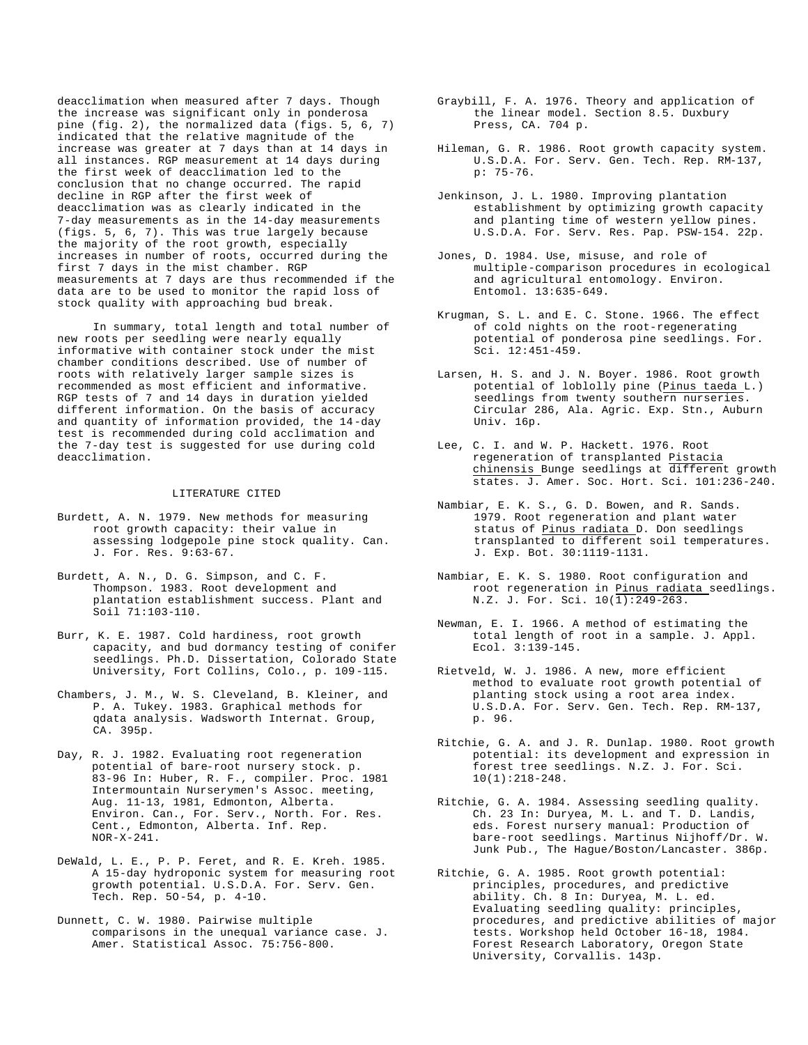deacclimation when measured after 7 days. Though the increase was significant only in ponderosa pine (fig. 2), the normalized data (figs. 5, 6, 7) indicated that the relative magnitude of the increase was greater at 7 days than at 14 days in all instances. RGP measurement at 14 days during the first week of deacclimation led to the conclusion that no change occurred. The rapid decline in RGP after the first week of deacclimation was as clearly indicated in the 7-day measurements as in the 14-day measurements (figs. 5, 6, 7). This was true largely because the majority of the root growth, especially increases in number of roots, occurred during the first 7 days in the mist chamber. RGP measurements at 7 days are thus recommended if the data are to be used to monitor the rapid loss of stock quality with approaching bud break.

In summary, total length and total number of new roots per seedling were nearly equally informative with container stock under the mist chamber conditions described. Use of number of roots with relatively larger sample sizes is recommended as most efficient and informative. RGP tests of 7 and 14 days in duration yielded different information. On the basis of accuracy and quantity of information provided, the 14-day test is recommended during cold acclimation and the 7-day test is suggested for use during cold deacclimation.

# LITERATURE CITED

- Burdett, A. N. 1979. New methods for measuring root growth capacity: their value in assessing lodgepole pine stock quality. Can. J. For. Res. 9:63-67.
- Burdett, A. N., D. G. Simpson, and C. F. Thompson. 1983. Root development and plantation establishment success. Plant and Soil 71:103-110.
- Burr, K. E. 1987. Cold hardiness, root growth capacity, and bud dormancy testing of conifer seedlings. Ph.D. Dissertation, Colorado State University, Fort Collins, Colo., p. 109-115.
- Chambers, J. M., W. S. Cleveland, B. Kleiner, and P. A. Tukey. 1983. Graphical methods for qdata analysis. Wadsworth Internat. Group, CA. 395p.
- Day, R. J. 1982. Evaluating root regeneration potential of bare-root nursery stock. p. 83-96 In: Huber, R. F., compiler. Proc. 1981 Intermountain Nurserymen's Assoc. meeting, Aug. 11-13, 1981, Edmonton, Alberta. Environ. Can., For. Serv., North. For. Res. Cent., Edmonton, Alberta. Inf. Rep. NOR-X-241.
- DeWald, L. E., P. P. Feret, and R. E. Kreh. 1985. A 15-day hydroponic system for measuring root growth potential. U.S.D.A. For. Serv. Gen. Tech. Rep. 5O-54, p. 4-10.
- Dunnett, C. W. 1980. Pairwise multiple comparisons in the unequal variance case. J. Amer. Statistical Assoc. 75:756-800.
- Graybill, F. A. 1976. Theory and application of the linear model. Section 8.5. Duxbury Press, CA. 704 p.
- Hileman, G. R. 1986. Root growth capacity system. U.S.D.A. For. Serv. Gen. Tech. Rep. RM-137, p: 75-76.
- Jenkinson, J. L. 1980. Improving plantation establishment by optimizing growth capacity and planting time of western yellow pines. U.S.D.A. For. Serv. Res. Pap. PSW-154. 22p.
- Jones, D. 1984. Use, misuse, and role of multiple-comparison procedures in ecological and agricultural entomology. Environ. Entomol. 13:635-649.
- Krugman, S. L. and E. C. Stone. 1966. The effect of cold nights on the root-regenerating potential of ponderosa pine seedlings. For. Sci. 12:451-459.
- Larsen, H. S. and J. N. Boyer. 1986. Root growth potential of loblolly pine (Pinus taeda L.) seedlings from twenty southern nurseries. Circular 286, Ala. Agric. Exp. Stn., Auburn Univ. 16p.
- Lee, C. I. and W. P. Hackett. 1976. Root regeneration of transplanted Pistacia chinensis Bunge seedlings at different growth states. J. Amer. Soc. Hort. Sci. 101:236-240.
- Nambiar, E. K. S., G. D. Bowen, and R. Sands. 1979. Root regeneration and plant water status of Pinus radiata D. Don seedlings transplanted to different soil temperatures. J. Exp. Bot. 30:1119-1131.
- Nambiar, E. K. S. 1980. Root configuration and root regeneration in Pinus radiata seedlings. N.Z. J. For. Sci. 10(1):249-263.
- Newman, E. I. 1966. A method of estimating the total length of root in a sample. J. Appl. Ecol. 3:139-145.
- Rietveld, W. J. 1986. A new, more efficient method to evaluate root growth potential of planting stock using a root area index. U.S.D.A. For. Serv. Gen. Tech. Rep. RM-137, p. 96.
- Ritchie, G. A. and J. R. Dunlap. 1980. Root growth potential: its development and expression in forest tree seedlings. N.Z. J. For. Sci. 10(1):218-248.
- Ritchie, G. A. 1984. Assessing seedling quality. Ch. 23 In: Duryea, M. L. and T. D. Landis, eds. Forest nursery manual: Production of bare-root seedlings. Martinus Nijhoff/Dr. W. Junk Pub., The Hague/Boston/Lancaster. 386p.
- Ritchie, G. A. 1985. Root growth potential: principles, procedures, and predictive ability. Ch. 8 In: Duryea, M. L. ed. Evaluating seedling quality: principles, procedures, and predictive abilities of major tests. Workshop held October 16-18, 1984. Forest Research Laboratory, Oregon State University, Corvallis. 143p.